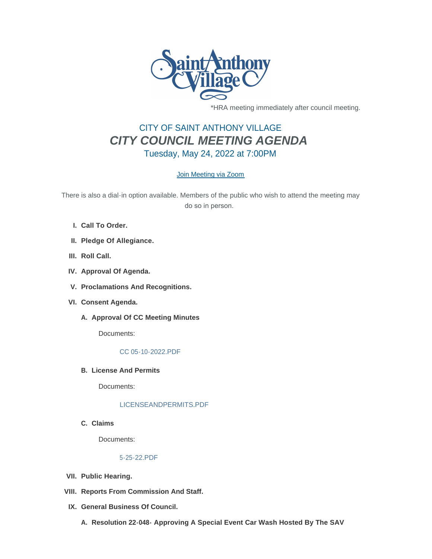

\*HRA meeting immediately after council meeting.

# CITY OF SAINT ANTHONY VILLAGE *CITY COUNCIL MEETING AGENDA* Tuesday, May 24, 2022 at 7:00PM

## [Join Meeting via Zoom](https://www.savmn.com/Calendar.aspx?EID=1573)

There is also a dial-in option available. Members of the public who wish to attend the meeting may do so in person.

- **Call To Order. I.**
- **Pledge Of Allegiance. II.**
- III. Roll Call.
- **Approval Of Agenda. IV.**
- **Proclamations And Recognitions. V.**
- **Consent Agenda. VI.**
	- A. Approval Of CC Meeting Minutes

Documents:

### [CC 05-10-2022.PDF](http://www.savmn.com/AgendaCenter/ViewFile/Item/986?fileID=6970)

**License And Permits B.**

Documents:

#### [LICENSEANDPERMITS.PDF](http://www.savmn.com/AgendaCenter/ViewFile/Item/985?fileID=6969)

**Claims C.**

Documents:

#### [5-25-22.PDF](http://www.savmn.com/AgendaCenter/ViewFile/Item/984?fileID=6968)

- **Public Hearing. VII.**
- **Reports From Commission And Staff. VIII.**
- **General Business Of Council. IX.**
	- **Resolution 22-048- Approving A Special Event Car Wash Hosted By The SAV A.**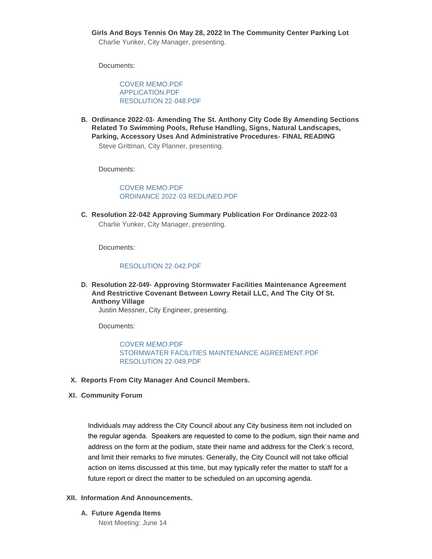**Girls And Boys Tennis On May 28, 2022 In The Community Center Parking Lot** Charlie Yunker, City Manager, presenting.

Documents:

[COVER MEMO.PDF](http://www.savmn.com/AgendaCenter/ViewFile/Item/988?fileID=6971) [APPLICATION.PDF](http://www.savmn.com/AgendaCenter/ViewFile/Item/988?fileID=6972) [RESOLUTION 22-048.PDF](http://www.savmn.com/AgendaCenter/ViewFile/Item/988?fileID=6998)

**Ordinance 2022-03- Amending The St. Anthony City Code By Amending Sections B. Related To Swimming Pools, Refuse Handling, Signs, Natural Landscapes, Parking, Accessory Uses And Administrative Procedures- FINAL READING** Steve Grittman, City Planner, presenting.

Documents:

[COVER MEMO.PDF](http://www.savmn.com/AgendaCenter/ViewFile/Item/987?fileID=6999) [ORDINANCE 2022-03 REDLINED.PDF](http://www.savmn.com/AgendaCenter/ViewFile/Item/987?fileID=7009)

**Resolution 22-042 Approving Summary Publication For Ordinance 2022-03 C.** Charlie Yunker, City Manager, presenting.

Documents:

#### [RESOLUTION 22-042.PDF](http://www.savmn.com/AgendaCenter/ViewFile/Item/1011?fileID=6975)

**Resolution 22-049- Approving Stormwater Facilities Maintenance Agreement D. And Restrictive Covenant Between Lowry Retail LLC, And The City Of St. Anthony Village**

Justin Messner, City Engineer, presenting.

Documents:

[COVER MEMO.PDF](http://www.savmn.com/AgendaCenter/ViewFile/Item/1012?fileID=6996) [STORMWATER FACILITIES MAINTENANCE AGREEMENT.PDF](http://www.savmn.com/AgendaCenter/ViewFile/Item/1012?fileID=6997) [RESOLUTION 22-049.PDF](http://www.savmn.com/AgendaCenter/ViewFile/Item/1012?fileID=7001)

- **Reports From City Manager And Council Members. X.**
- **Community Forum XI.**

Individuals may address the City Council about any City business item not included on the regular agenda. Speakers are requested to come to the podium, sign their name and address on the form at the podium, state their name and address for the Clerk's record, and limit their remarks to five minutes. Generally, the City Council will not take official action on items discussed at this time, but may typically refer the matter to staff for a future report or direct the matter to be scheduled on an upcoming agenda.

#### **Information And Announcements. XII.**

**Future Agenda Items A.**

Next Meeting: June 14